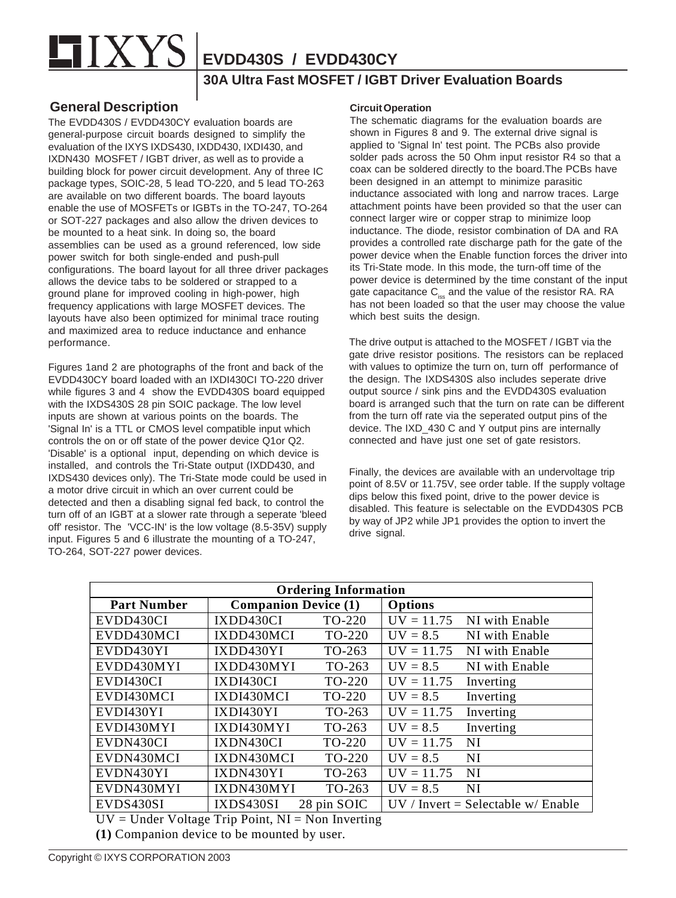

**EVDD430S / EVDD430CY**

## **30A Ultra Fast MOSFET / IGBT Driver Evaluation Boards**

## **General Description**

The EVDD430S / EVDD430CY evaluation boards are general-purpose circuit boards designed to simplify the evaluation of the IXYS IXDS430, IXDD430, IXDI430, and IXDN430 MOSFET / IGBT driver, as well as to provide a building block for power circuit development. Any of three IC package types, SOIC-28, 5 lead TO-220, and 5 lead TO-263 are available on two different boards. The board layouts enable the use of MOSFETs or IGBTs in the TO-247, TO-264 or SOT-227 packages and also allow the driven devices to be mounted to a heat sink. In doing so, the board assemblies can be used as a ground referenced, low side power switch for both single-ended and push-pull configurations. The board layout for all three driver packages allows the device tabs to be soldered or strapped to a ground plane for improved cooling in high-power, high frequency applications with large MOSFET devices. The layouts have also been optimized for minimal trace routing and maximized area to reduce inductance and enhance performance.

Figures 1and 2 are photographs of the front and back of the EVDD430CY board loaded with an IXDI430CI TO-220 driver while figures 3 and 4 show the EVDD430S board equipped with the IXDS430S 28 pin SOIC package. The low level inputs are shown at various points on the boards. The 'Signal In' is a TTL or CMOS level compatible input which controls the on or off state of the power device Q1or Q2. 'Disable' is a optional input, depending on which device is installed, and controls the Tri-State output (IXDD430, and IXDS430 devices only). The Tri-State mode could be used in a motor drive circuit in which an over current could be detected and then a disabling signal fed back, to control the turn off of an IGBT at a slower rate through a seperate 'bleed off' resistor. The 'VCC-IN' is the low voltage (8.5-35V) supply input. Figures 5 and 6 illustrate the mounting of a TO-247, TO-264, SOT-227 power devices.

## **Circuit Operation**

The schematic diagrams for the evaluation boards are shown in Figures 8 and 9. The external drive signal is applied to 'Signal In' test point. The PCBs also provide solder pads across the 50 Ohm input resistor R4 so that a coax can be soldered directly to the board.The PCBs have been designed in an attempt to minimize parasitic inductance associated with long and narrow traces. Large attachment points have been provided so that the user can connect larger wire or copper strap to minimize loop inductance. The diode, resistor combination of DA and RA provides a controlled rate discharge path for the gate of the power device when the Enable function forces the driver into its Tri-State mode. In this mode, the turn-off time of the power device is determined by the time constant of the input gate capacitance C<sub>iss</sub> and the value of the resistor RA. RA has not been loaded so that the user may choose the value which best suits the design.

The drive output is attached to the MOSFET / IGBT via the gate drive resistor positions. The resistors can be replaced with values to optimize the turn on, turn off performance of the design. The IXDS430S also includes seperate drive output source / sink pins and the EVDD430S evaluation board is arranged such that the turn on rate can be different from the turn off rate via the seperated output pins of the device. The IXD\_430 C and Y output pins are internally connected and have just one set of gate resistors.

Finally, the devices are available with an undervoltage trip point of 8.5V or 11.75V, see order table. If the supply voltage dips below this fixed point, drive to the power device is disabled. This feature is selectable on the EVDD430S PCB by way of JP2 while JP1 provides the option to invert the drive signal.

| <b>Ordering Information</b> |                             |             |                |                                       |  |
|-----------------------------|-----------------------------|-------------|----------------|---------------------------------------|--|
| <b>Part Number</b>          | <b>Companion Device (1)</b> |             | <b>Options</b> |                                       |  |
| EVDD430CI                   | IXDD430CI                   | TO-220      | $UV = 11.75$   | NI with Enable                        |  |
| EVDD430MCI                  | IXDD430MCI                  | TO-220      | $UV = 8.5$     | NI with Enable                        |  |
| EVDD430YI                   | IXDD430YI                   | TO-263      | $UV = 11.75$   | NI with Enable                        |  |
| EVDD430MYI                  | IXDD430MYI                  | TO-263      | $UV = 8.5$     | NI with Enable                        |  |
| EVDI430CI                   | IXDI430CI                   | TO-220      | $UV = 11.75$   | Inverting                             |  |
| EVDI430MCI                  | IXDI430MCI                  | TO-220      | $UV = 8.5$     | Inverting                             |  |
| EVDI430YI                   | <b>IXDI430YI</b>            | TO-263      | $UV = 11.75$   | Inverting                             |  |
| EVDI430MYI                  | IXDI430MYI                  | TO-263      | $UV = 8.5$     | Inverting                             |  |
| EVDN430CI                   | IXDN430CI                   | TO-220      | $UV = 11.75$   | NI                                    |  |
| EVDN430MCI                  | IXDN430MCI                  | TO-220      | $UV = 8.5$     | NI                                    |  |
| EVDN430YI                   | IXDN430YI                   | TO-263      | $UV = 11.75$   | <b>NI</b>                             |  |
| EVDN430MYI                  | IXDN430MYI                  | TO-263      | $UV = 8.5$     | NI                                    |  |
| EVDS430SI                   | <b>IXDS430SI</b>            | 28 pin SOIC |                | $UV / Invert = Selectable w / Enable$ |  |

 $UV = Under Voltage Trip Point, NI = Non Inverting$ 

**(1)** Companion device to be mounted by user.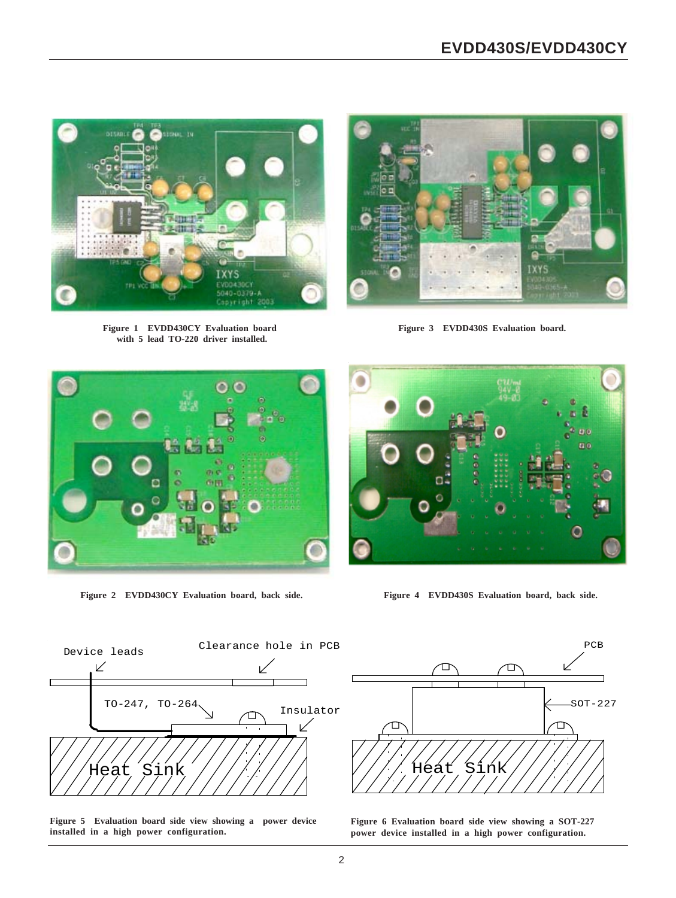

**Figure 1 EVDD430CY Evaluation board with 5 lead TO-220 driver installed.**



**Figure 3 EVDD430S Evaluation board.**



**Figure 2 EVDD430CY Evaluation board, back side.**



**Figure 4 EVDD430S Evaluation board, back side.**



**Figure 5 Evaluation board side view showing a power device installed in a high power configuration.**



**Figure 6 Evaluation board side view showing a SOT-227 power device installed in a high power configuration.**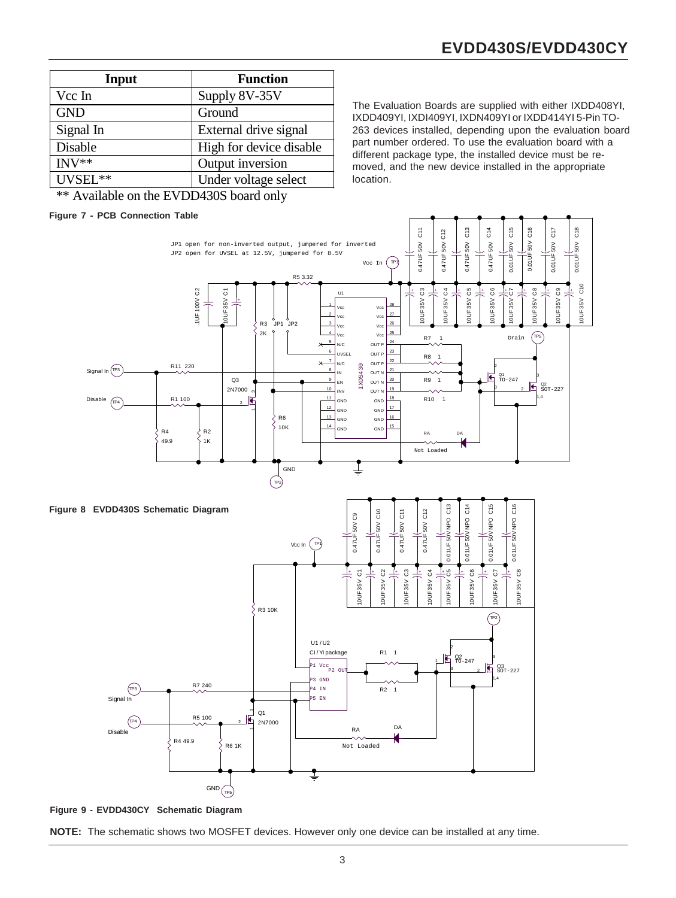| Input                                | <b>Function</b>         |  |  |
|--------------------------------------|-------------------------|--|--|
| Vcc In                               | Supply 8V-35V           |  |  |
| <b>GND</b>                           | Ground                  |  |  |
| Signal In                            | External drive signal   |  |  |
| Disable                              | High for device disable |  |  |
| $INV**$                              | Output inversion        |  |  |
| UVSEL**                              | Under voltage select    |  |  |
| $44.4$ 111 $11.7$ $11.7$ $12.0011$ 1 |                         |  |  |

The Evaluation Boards are supplied with either IXDD408YI, IXDD409YI, IXDI409YI, IXDN409YI or IXDD414YI 5-Pin TO-263 devices installed, depending upon the evaluation board part number ordered. To use the evaluation board with a different package type, the installed device must be removed, and the new device installed in the appropriate location.

\*\* Available on the EVDD430S board only

## **Figure 7 - PCB Connection Table**



**Figure 9 - EVDD430CY Schematic Diagram**

**NOTE:** The schematic shows two MOSFET devices. However only one device can be installed at any time.